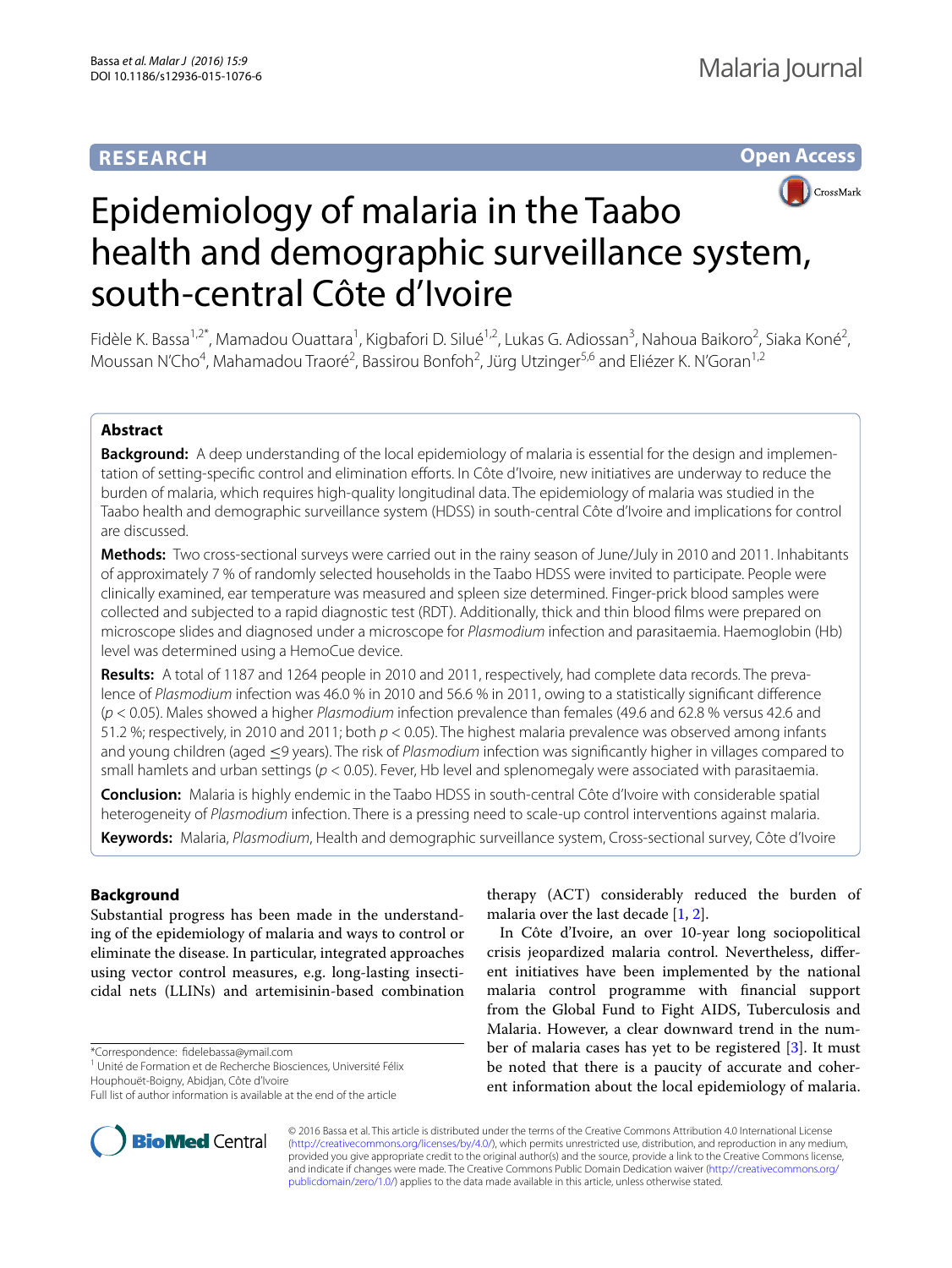# **RESEARCH**

**Open Access**



# Epidemiology of malaria in the Taabo health and demographic surveillance system, south-central Côte d'Ivoire

Fidèle K. Bassa<sup>1,2\*</sup>, Mamadou Ouattara<sup>1</sup>, Kigbafori D. Silué<sup>1,2</sup>, Lukas G. Adiossan<sup>3</sup>, Nahoua Baikoro<sup>2</sup>, Siaka Koné<sup>2</sup>, Moussan N'Cho<sup>4</sup>, Mahamadou Traoré<sup>2</sup>, Bassirou Bonfoh<sup>2</sup>, Jürg Utzinger<sup>5,6</sup> and Eliézer K. N'Goran<sup>1,2</sup>

## **Abstract**

**Background:** A deep understanding of the local epidemiology of malaria is essential for the design and implementation of setting-specific control and elimination efforts. In Côte d'Ivoire, new initiatives are underway to reduce the burden of malaria, which requires high-quality longitudinal data. The epidemiology of malaria was studied in the Taabo health and demographic surveillance system (HDSS) in south-central Côte d'Ivoire and implications for control are discussed.

**Methods:** Two cross-sectional surveys were carried out in the rainy season of June/July in 2010 and 2011. Inhabitants of approximately 7 % of randomly selected households in the Taabo HDSS were invited to participate. People were clinically examined, ear temperature was measured and spleen size determined. Finger-prick blood samples were collected and subjected to a rapid diagnostic test (RDT). Additionally, thick and thin blood films were prepared on microscope slides and diagnosed under a microscope for *Plasmodium* infection and parasitaemia. Haemoglobin (Hb) level was determined using a HemoCue device.

**Results:** A total of 1187 and 1264 people in 2010 and 2011, respectively, had complete data records. The prevalence of *Plasmodium* infection was 46.0 % in 2010 and 56.6 % in 2011, owing to a statistically significant difference (*p* < 0.05). Males showed a higher *Plasmodium* infection prevalence than females (49.6 and 62.8 % versus 42.6 and 51.2 %; respectively, in 2010 and 2011; both *p* < 0.05). The highest malaria prevalence was observed among infants and young children (aged ≤9 years). The risk of *Plasmodium* infection was significantly higher in villages compared to small hamlets and urban settings (*p* < 0.05). Fever, Hb level and splenomegaly were associated with parasitaemia.

**Conclusion:** Malaria is highly endemic in the Taabo HDSS in south-central Côte d'Ivoire with considerable spatial heterogeneity of *Plasmodium* infection. There is a pressing need to scale-up control interventions against malaria.

**Keywords:** Malaria, *Plasmodium*, Health and demographic surveillance system, Cross-sectional survey, Côte d'Ivoire

# **Background**

Substantial progress has been made in the understanding of the epidemiology of malaria and ways to control or eliminate the disease. In particular, integrated approaches using vector control measures, e.g. long-lasting insecticidal nets (LLINs) and artemisinin-based combination

\*Correspondence: fidelebassa@ymail.com

<sup>1</sup> Unité de Formation et de Recherche Biosciences, Université Félix Houphouët-Boigny, Abidjan, Côte d'Ivoire



In Côte d'Ivoire, an over 10-year long sociopolitical crisis jeopardized malaria control. Nevertheless, different initiatives have been implemented by the national malaria control programme with financial support from the Global Fund to Fight AIDS, Tuberculosis and Malaria. However, a clear downward trend in the number of malaria cases has yet to be registered [[3\]](#page-9-1). It must be noted that there is a paucity of accurate and coherent information about the local epidemiology of malaria.



© 2016 Bassa et al. This article is distributed under the terms of the Creative Commons Attribution 4.0 International License [\(http://creativecommons.org/licenses/by/4.0/\)](http://creativecommons.org/licenses/by/4.0/), which permits unrestricted use, distribution, and reproduction in any medium, provided you give appropriate credit to the original author(s) and the source, provide a link to the Creative Commons license, and indicate if changes were made. The Creative Commons Public Domain Dedication waiver ([http://creativecommons.org/](http://creativecommons.org/publicdomain/zero/1.0/) [publicdomain/zero/1.0/](http://creativecommons.org/publicdomain/zero/1.0/)) applies to the data made available in this article, unless otherwise stated.

Full list of author information is available at the end of the article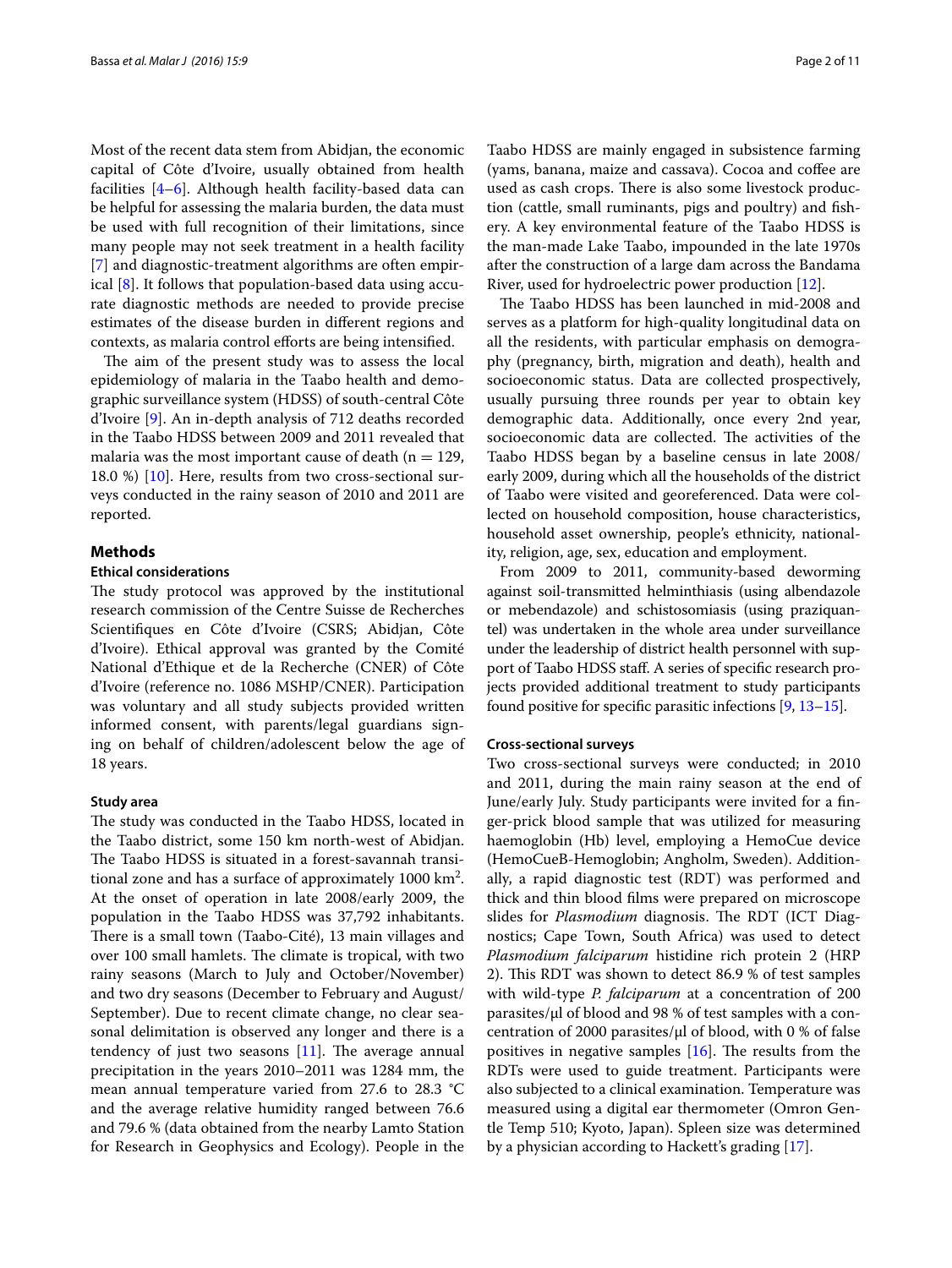Most of the recent data stem from Abidjan, the economic capital of Côte d'Ivoire, usually obtained from health facilities [[4–](#page-9-2)[6\]](#page-9-3). Although health facility-based data can be helpful for assessing the malaria burden, the data must be used with full recognition of their limitations, since many people may not seek treatment in a health facility [[7\]](#page-9-4) and diagnostic-treatment algorithms are often empirical [[8\]](#page-9-5). It follows that population-based data using accurate diagnostic methods are needed to provide precise estimates of the disease burden in different regions and contexts, as malaria control efforts are being intensified.

The aim of the present study was to assess the local epidemiology of malaria in the Taabo health and demographic surveillance system (HDSS) of south-central Côte d'Ivoire [[9\]](#page-9-6). An in-depth analysis of 712 deaths recorded in the Taabo HDSS between 2009 and 2011 revealed that malaria was the most important cause of death ( $n = 129$ , 18.0 %) [\[10](#page-9-7)]. Here, results from two cross-sectional surveys conducted in the rainy season of 2010 and 2011 are reported.

#### **Methods**

#### **Ethical considerations**

The study protocol was approved by the institutional research commission of the Centre Suisse de Recherches Scientifiques en Côte d'Ivoire (CSRS; Abidjan, Côte d'Ivoire). Ethical approval was granted by the Comité National d'Ethique et de la Recherche (CNER) of Côte d'Ivoire (reference no. 1086 MSHP/CNER). Participation was voluntary and all study subjects provided written informed consent, with parents/legal guardians signing on behalf of children/adolescent below the age of 18 years.

#### **Study area**

The study was conducted in the Taabo HDSS, located in the Taabo district, some 150 km north-west of Abidjan. The Taabo HDSS is situated in a forest-savannah transitional zone and has a surface of approximately  $1000 \text{ km}^2$ . At the onset of operation in late 2008/early 2009, the population in the Taabo HDSS was 37,792 inhabitants. There is a small town (Taabo-Cité), 13 main villages and over 100 small hamlets. The climate is tropical, with two rainy seasons (March to July and October/November) and two dry seasons (December to February and August/ September). Due to recent climate change, no clear seasonal delimitation is observed any longer and there is a tendency of just two seasons  $[11]$  $[11]$  $[11]$ . The average annual precipitation in the years 2010–2011 was 1284 mm, the mean annual temperature varied from 27.6 to 28.3 °C and the average relative humidity ranged between 76.6 and 79.6 % (data obtained from the nearby Lamto Station for Research in Geophysics and Ecology). People in the

Taabo HDSS are mainly engaged in subsistence farming (yams, banana, maize and cassava). Cocoa and coffee are used as cash crops. There is also some livestock production (cattle, small ruminants, pigs and poultry) and fishery. A key environmental feature of the Taabo HDSS is the man-made Lake Taabo, impounded in the late 1970s after the construction of a large dam across the Bandama River, used for hydroelectric power production [\[12](#page-9-9)].

The Taabo HDSS has been launched in mid-2008 and serves as a platform for high-quality longitudinal data on all the residents, with particular emphasis on demography (pregnancy, birth, migration and death), health and socioeconomic status. Data are collected prospectively, usually pursuing three rounds per year to obtain key demographic data. Additionally, once every 2nd year, socioeconomic data are collected. The activities of the Taabo HDSS began by a baseline census in late 2008/ early 2009, during which all the households of the district of Taabo were visited and georeferenced. Data were collected on household composition, house characteristics, household asset ownership, people's ethnicity, nationality, religion, age, sex, education and employment.

From 2009 to 2011, community-based deworming against soil-transmitted helminthiasis (using albendazole or mebendazole) and schistosomiasis (using praziquantel) was undertaken in the whole area under surveillance under the leadership of district health personnel with support of Taabo HDSS staff. A series of specific research projects provided additional treatment to study participants found positive for specific parasitic infections [[9](#page-9-6), [13](#page-9-10)[–15\]](#page-9-11).

#### **Cross‑sectional surveys**

Two cross-sectional surveys were conducted; in 2010 and 2011, during the main rainy season at the end of June/early July. Study participants were invited for a finger-prick blood sample that was utilized for measuring haemoglobin (Hb) level, employing a HemoCue device (HemoCueB-Hemoglobin; Angholm, Sweden). Additionally, a rapid diagnostic test (RDT) was performed and thick and thin blood films were prepared on microscope slides for *Plasmodium* diagnosis. The RDT (ICT Diagnostics; Cape Town, South Africa) was used to detect *Plasmodium falciparum* histidine rich protein 2 (HRP 2). This RDT was shown to detect 86.9 % of test samples with wild-type *P. falciparum* at a concentration of 200 parasites/μl of blood and 98 % of test samples with a concentration of 2000 parasites/μl of blood, with 0 % of false positives in negative samples [\[16\]](#page-9-12). The results from the RDTs were used to guide treatment. Participants were also subjected to a clinical examination. Temperature was measured using a digital ear thermometer (Omron Gentle Temp 510; Kyoto, Japan). Spleen size was determined by a physician according to Hackett's grading [[17\]](#page-9-13).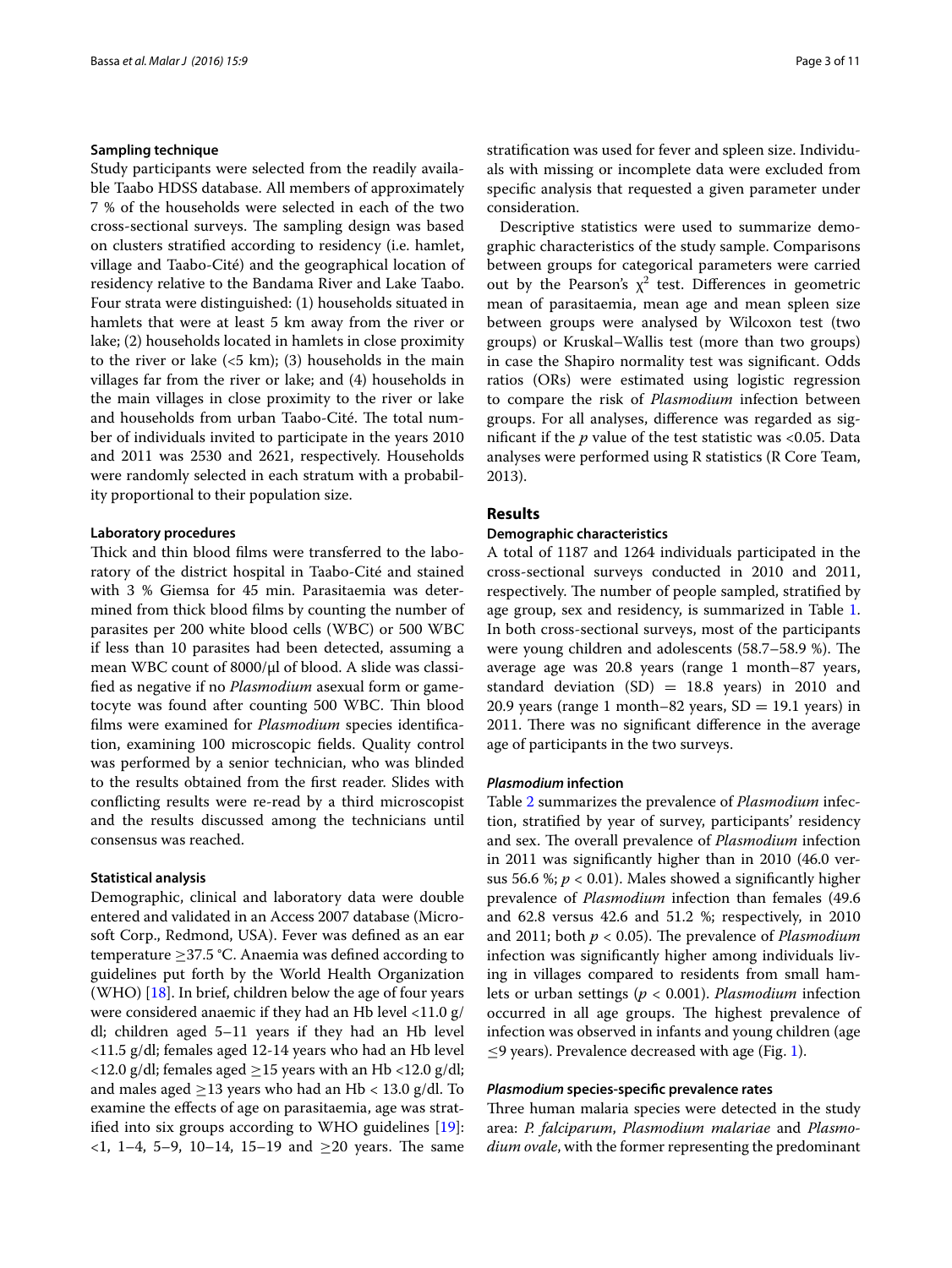#### **Sampling technique**

Study participants were selected from the readily available Taabo HDSS database. All members of approximately 7 % of the households were selected in each of the two cross-sectional surveys. The sampling design was based on clusters stratified according to residency (i.e. hamlet, village and Taabo-Cité) and the geographical location of residency relative to the Bandama River and Lake Taabo. Four strata were distinguished: (1) households situated in hamlets that were at least 5 km away from the river or lake; (2) households located in hamlets in close proximity to the river or lake  $(5 \text{ km})$ ; (3) households in the main villages far from the river or lake; and (4) households in the main villages in close proximity to the river or lake and households from urban Taabo-Cité. The total number of individuals invited to participate in the years 2010 and 2011 was 2530 and 2621, respectively. Households were randomly selected in each stratum with a probability proportional to their population size.

## **Laboratory procedures**

Thick and thin blood films were transferred to the laboratory of the district hospital in Taabo-Cité and stained with 3 % Giemsa for 45 min. Parasitaemia was determined from thick blood films by counting the number of parasites per 200 white blood cells (WBC) or 500 WBC if less than 10 parasites had been detected, assuming a mean WBC count of 8000/μl of blood. A slide was classified as negative if no *Plasmodium* asexual form or gametocyte was found after counting 500 WBC. Thin blood films were examined for *Plasmodium* species identification, examining 100 microscopic fields. Quality control was performed by a senior technician, who was blinded to the results obtained from the first reader. Slides with conflicting results were re-read by a third microscopist and the results discussed among the technicians until consensus was reached.

### **Statistical analysis**

Demographic, clinical and laboratory data were double entered and validated in an Access 2007 database (Microsoft Corp., Redmond, USA). Fever was defined as an ear temperature ≥37.5 °C. Anaemia was defined according to guidelines put forth by the World Health Organization (WHO) [\[18](#page-9-14)]. In brief, children below the age of four years were considered anaemic if they had an Hb level <11.0 g/ dl; children aged 5–11 years if they had an Hb level <11.5 g/dl; females aged 12-14 years who had an Hb level <12.0 g/dl; females aged  $\geq$ 15 years with an Hb <12.0 g/dl; and males aged  $\geq$ 13 years who had an Hb < 13.0 g/dl. To examine the effects of age on parasitaemia, age was stratified into six groups according to WHO guidelines [\[19](#page-9-15)]:  $\langle 1, 1-4, 5-9, 10-14, 15-19 \rangle$  and  $\geq 20$  years. The same

stratification was used for fever and spleen size. Individuals with missing or incomplete data were excluded from specific analysis that requested a given parameter under consideration.

Descriptive statistics were used to summarize demographic characteristics of the study sample. Comparisons between groups for categorical parameters were carried out by the Pearson's  $\chi^2$  test. Differences in geometric mean of parasitaemia, mean age and mean spleen size between groups were analysed by Wilcoxon test (two groups) or Kruskal–Wallis test (more than two groups) in case the Shapiro normality test was significant. Odds ratios (ORs) were estimated using logistic regression to compare the risk of *Plasmodium* infection between groups. For all analyses, difference was regarded as significant if the *p* value of the test statistic was <0.05. Data analyses were performed using R statistics (R Core Team, 2013).

## **Results**

#### **Demographic characteristics**

A total of 1187 and 1264 individuals participated in the cross-sectional surveys conducted in 2010 and 2011, respectively. The number of people sampled, stratified by age group, sex and residency, is summarized in Table [1](#page-3-0). In both cross-sectional surveys, most of the participants were young children and adolescents (58.7–58.9 %). The average age was 20.8 years (range 1 month–87 years, standard deviation  $(SD) = 18.8$  years) in 2010 and 20.9 years (range 1 month–82 years,  $SD = 19.1$  years) in 2011. There was no significant difference in the average age of participants in the two surveys.

#### *Plasmodium* **infection**

Table [2](#page-3-1) summarizes the prevalence of *Plasmodium* infection, stratified by year of survey, participants' residency and sex. The overall prevalence of *Plasmodium* infection in 2011 was significantly higher than in 2010 (46.0 versus 56.6 %;  $p < 0.01$ ). Males showed a significantly higher prevalence of *Plasmodium* infection than females (49.6 and 62.8 versus 42.6 and 51.2 %; respectively, in 2010 and 2011; both *p* < 0.05). The prevalence of *Plasmodium* infection was significantly higher among individuals living in villages compared to residents from small hamlets or urban settings (*p* < 0.001). *Plasmodium* infection occurred in all age groups. The highest prevalence of infection was observed in infants and young children (age  $\leq$ 9 years). Prevalence decreased with age (Fig. [1\)](#page-4-0).

#### *Plasmodium* **species‑specific prevalence rates**

Three human malaria species were detected in the study area: *P. falciparum*, *Plasmodium malariae* and *Plasmodium ovale*, with the former representing the predominant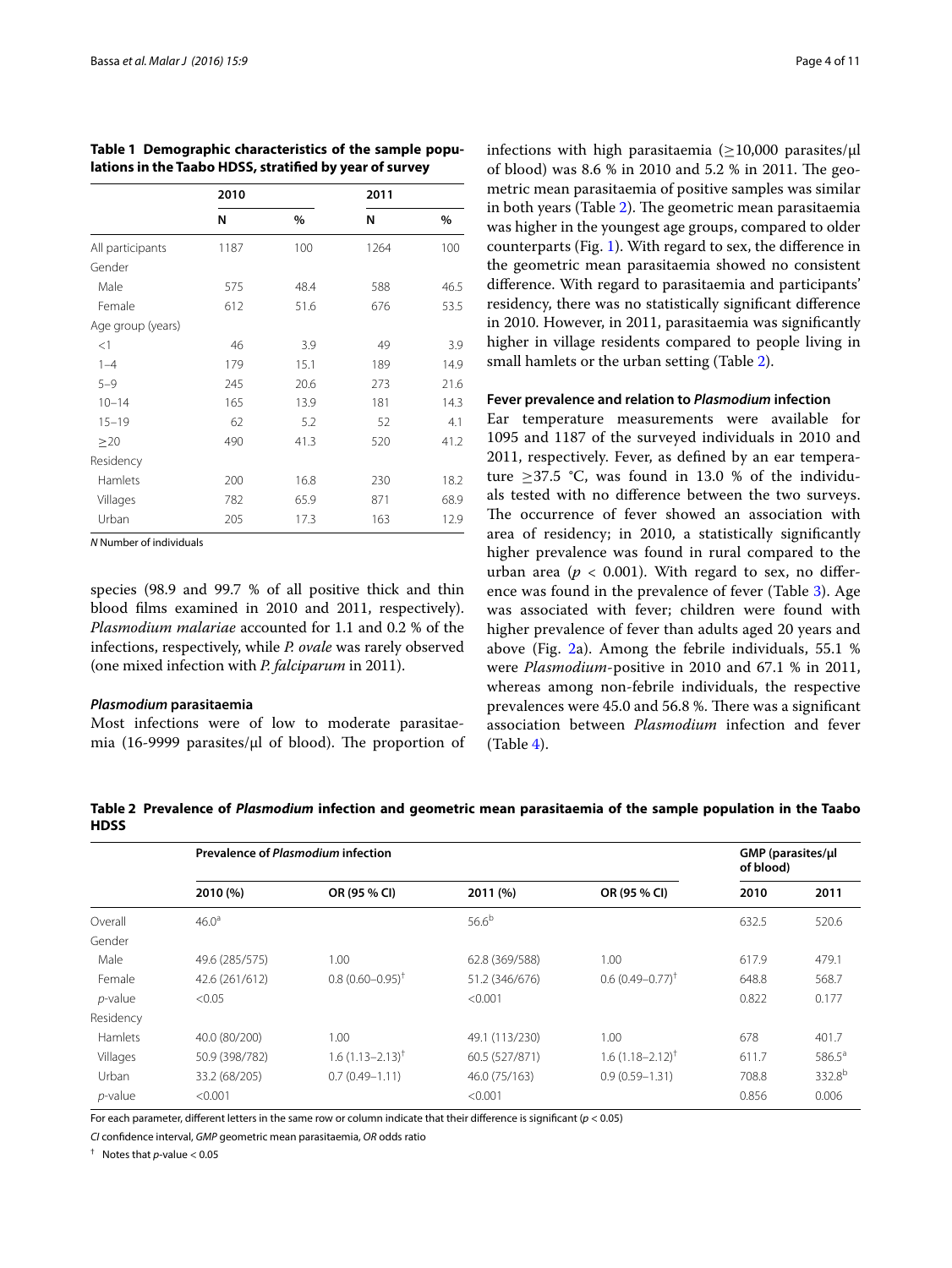|                   | 2010 |      | 2011 |      |
|-------------------|------|------|------|------|
|                   | N    | %    | N    | %    |
| All participants  | 1187 | 100  | 1264 | 100  |
| Gender            |      |      |      |      |
| Male              | 575  | 48.4 | 588  | 46.5 |
| Female            | 612  | 51.6 | 676  | 53.5 |
| Age group (years) |      |      |      |      |
| <1                | 46   | 3.9  | 49   | 3.9  |
| $1 - 4$           | 179  | 15.1 | 189  | 14.9 |
| $5 - 9$           | 245  | 20.6 | 273  | 21.6 |
| $10 - 14$         | 165  | 13.9 | 181  | 14.3 |
| $15 - 19$         | 62   | 5.2  | 52   | 4.1  |
| $\geq$ 20         | 490  | 41.3 | 520  | 41.2 |
| Residency         |      |      |      |      |
| Hamlets           | 200  | 16.8 | 230  | 18.2 |
| Villages          | 782  | 65.9 | 871  | 68.9 |
| Urban             | 205  | 17.3 | 163  | 12.9 |

<span id="page-3-0"></span>**Table 1 Demographic characteristics of the sample populations in the Taabo HDSS, stratified by year of survey**

*N* Number of individuals

species (98.9 and 99.7 % of all positive thick and thin blood films examined in 2010 and 2011, respectively). *Plasmodium malariae* accounted for 1.1 and 0.2 % of the infections, respectively, while *P. ovale* was rarely observed (one mixed infection with *P. falciparum* in 2011).

#### *Plasmodium* **parasitaemia**

Most infections were of low to moderate parasitaemia (16-9999 parasites/μl of blood). The proportion of infections with high parasitaemia ( $\geq$ 10,000 parasites/ $\mu$ l of blood) was 8.6 % in 2010 and 5.2 % in 2011. The geometric mean parasitaemia of positive samples was similar in both years (Table [2](#page-3-1)). The geometric mean parasitaemia was higher in the youngest age groups, compared to older counterparts (Fig. [1\)](#page-4-0). With regard to sex, the difference in the geometric mean parasitaemia showed no consistent difference. With regard to parasitaemia and participants' residency, there was no statistically significant difference in 2010. However, in 2011, parasitaemia was significantly higher in village residents compared to people living in small hamlets or the urban setting (Table [2](#page-3-1)).

#### **Fever prevalence and relation to** *Plasmodium* **infection**

Ear temperature measurements were available for 1095 and 1187 of the surveyed individuals in 2010 and 2011, respectively. Fever, as defined by an ear temperature  $\geq$ 37.5 °C, was found in 13.0 % of the individuals tested with no difference between the two surveys. The occurrence of fever showed an association with area of residency; in 2010, a statistically significantly higher prevalence was found in rural compared to the urban area ( $p < 0.001$ ). With regard to sex, no difference was found in the prevalence of fever (Table [3](#page-4-1)). Age was associated with fever; children were found with higher prevalence of fever than adults aged 20 years and above (Fig. [2a](#page-5-0)). Among the febrile individuals, 55.1 % were *Plasmodium*-positive in 2010 and 67.1 % in 2011, whereas among non-febrile individuals, the respective prevalences were 45.0 and 56.8 %. There was a significant association between *Plasmodium* infection and fever (Table [4\)](#page-6-0).

<span id="page-3-1"></span>**Table 2 Prevalence of** *Plasmodium* **infection and geometric mean parasitaemia of the sample population in the Taabo HDSS**

|            | Prevalence of Plasmodium infection |                              |                |                        |       | GMP (parasites/ul<br>of blood) |  |
|------------|------------------------------------|------------------------------|----------------|------------------------|-------|--------------------------------|--|
|            | 2010 (%)                           | OR (95 % CI)                 | 2011(%)        | OR (95 % CI)           | 2010  | 2011                           |  |
| Overall    | 46.0 <sup>a</sup>                  |                              | $56.6^{b}$     |                        | 632.5 | 520.6                          |  |
| Gender     |                                    |                              |                |                        |       |                                |  |
| Male       | 49.6 (285/575)                     | 1.00                         | 62.8 (369/588) | 1.00                   | 617.9 | 479.1                          |  |
| Female     | 42.6 (261/612)                     | $0.8(0.60 - 0.95)^{+}$       | 51.2 (346/676) | $0.6(0.49 - 0.77)^{+}$ | 648.8 | 568.7                          |  |
| $p$ -value | < 0.05                             |                              | < 0.001        |                        | 0.822 | 0.177                          |  |
| Residency  |                                    |                              |                |                        |       |                                |  |
| Hamlets    | 40.0 (80/200)                      | 1.00                         | 49.1 (113/230) | 1.00                   | 678   | 401.7                          |  |
| Villages   | 50.9 (398/782)                     | $1.6(1.13 - 2.13)^{\dagger}$ | 60.5 (527/871) | $1.6(1.18 - 2.12)^{T}$ | 611.7 | $586.5^a$                      |  |
| Urban      | 33.2 (68/205)                      | $0.7(0.49 - 1.11)$           | 46.0 (75/163)  | $0.9(0.59 - 1.31)$     | 708.8 | 332.8 <sup>b</sup>             |  |
| $p$ -value | < 0.001                            |                              | < 0.001        |                        | 0.856 | 0.006                          |  |

For each parameter, different letters in the same row or column indicate that their difference is significant (*p* < 0.05)

*CI* confidence interval, *GMP* geometric mean parasitaemia, *OR* odds ratio

† Notes that *p*-value < 0.05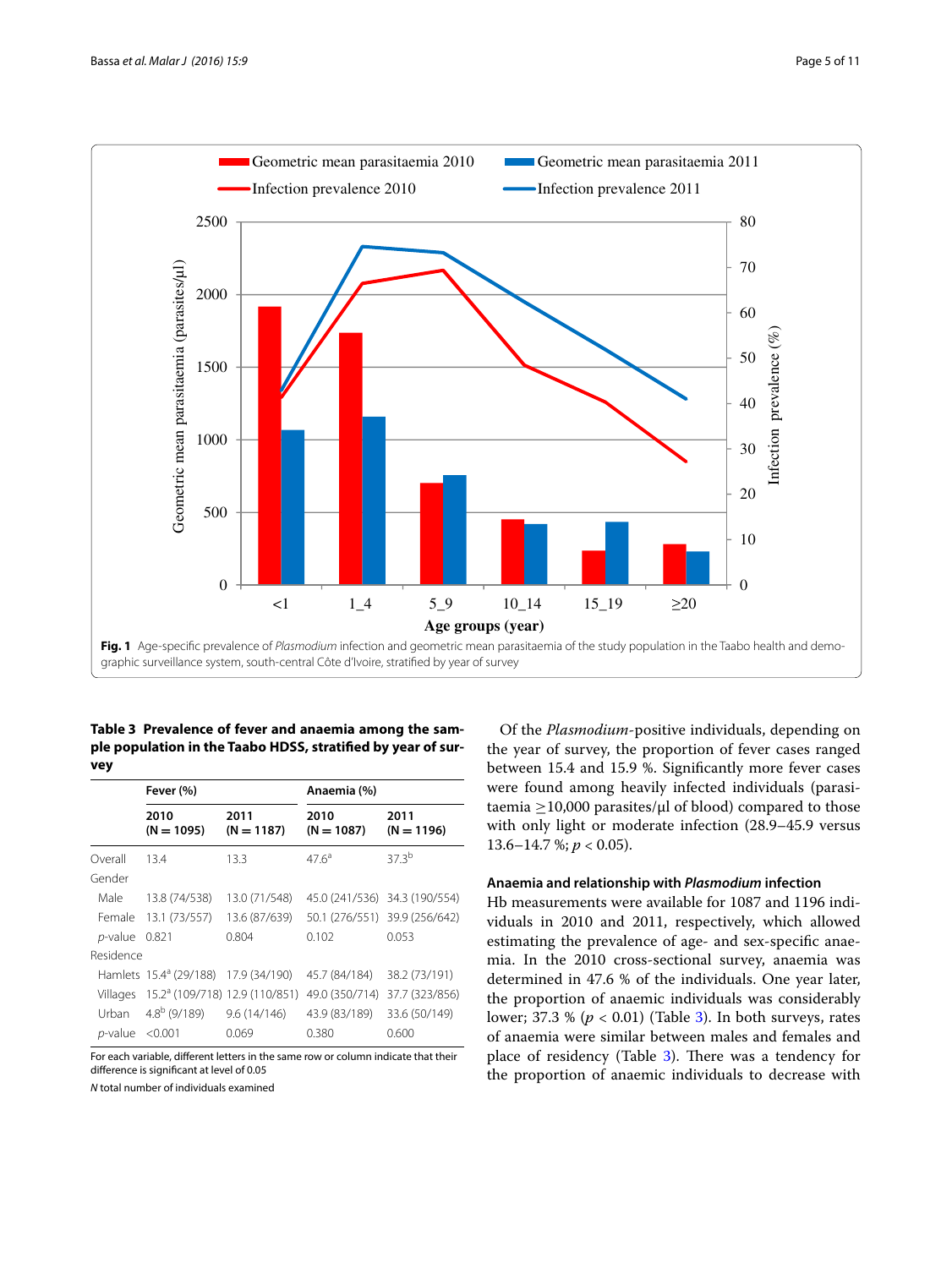

<span id="page-4-1"></span><span id="page-4-0"></span>**Table 3 Prevalence of fever and anaemia among the sample population in the Taabo HDSS, stratified by year of survey**

|                      | Fever (%)                                        |                      | Anaemia (%)                   |                               |
|----------------------|--------------------------------------------------|----------------------|-------------------------------|-------------------------------|
|                      | 2010<br>$(N = 1095)$                             | 2011<br>$(N = 1187)$ | 2010<br>$(N = 1087)$          | 2011<br>$(N = 1196)$          |
| Overall              | 13.4                                             | 13.3                 | $476^{\circ}$                 | 373 <sup>b</sup>              |
| Gender               |                                                  |                      |                               |                               |
| Male                 | 13.8 (74/538)                                    | 13.0 (71/548)        | 45.0 (241/536) 34.3 (190/554) |                               |
| Female               | 13.1 (73/557)                                    | 13.6 (87/639)        |                               | 50.1 (276/551) 39.9 (256/642) |
| $p$ -value           | 0.821                                            | 0.804                | 0.102                         | 0.053                         |
| Residence            |                                                  |                      |                               |                               |
|                      | Hamlets 15.4 <sup>ª</sup> (29/188) 17.9 (34/190) |                      | 45.7 (84/184)                 | 38.2 (73/191)                 |
| Villages             | 15.2 <sup>a</sup> (109/718) 12.9 (110/851)       |                      | 49.0 (350/714)                | 37.7 (323/856)                |
| Urban                | $4.8^{b}$ (9/189) 9.6 (14/146)                   |                      | 43.9 (83/189)                 | 33.6 (50/149)                 |
| $p$ -value < $0.001$ |                                                  | 0.069                | 0.380                         | 0.600                         |

For each variable, different letters in the same row or column indicate that their difference is significant at level of 0.05

*N* total number of individuals examined

Of the *Plasmodium*-positive individuals, depending on the year of survey, the proportion of fever cases ranged between 15.4 and 15.9 %. Significantly more fever cases were found among heavily infected individuals (parasitaemia  $\geq$ 10,000 parasites/μl of blood) compared to those with only light or moderate infection (28.9–45.9 versus 13.6–14.7 %; *p* < 0.05).

## **Anaemia and relationship with** *Plasmodium* **infection**

Hb measurements were available for 1087 and 1196 individuals in 2010 and 2011, respectively, which allowed estimating the prevalence of age- and sex-specific anaemia. In the 2010 cross-sectional survey, anaemia was determined in 47.6 % of the individuals. One year later, the proportion of anaemic individuals was considerably lower; 37.3 % (*p* < 0.01) (Table [3](#page-4-1)). In both surveys, rates of anaemia were similar between males and females and place of residency (Table [3\)](#page-4-1). There was a tendency for the proportion of anaemic individuals to decrease with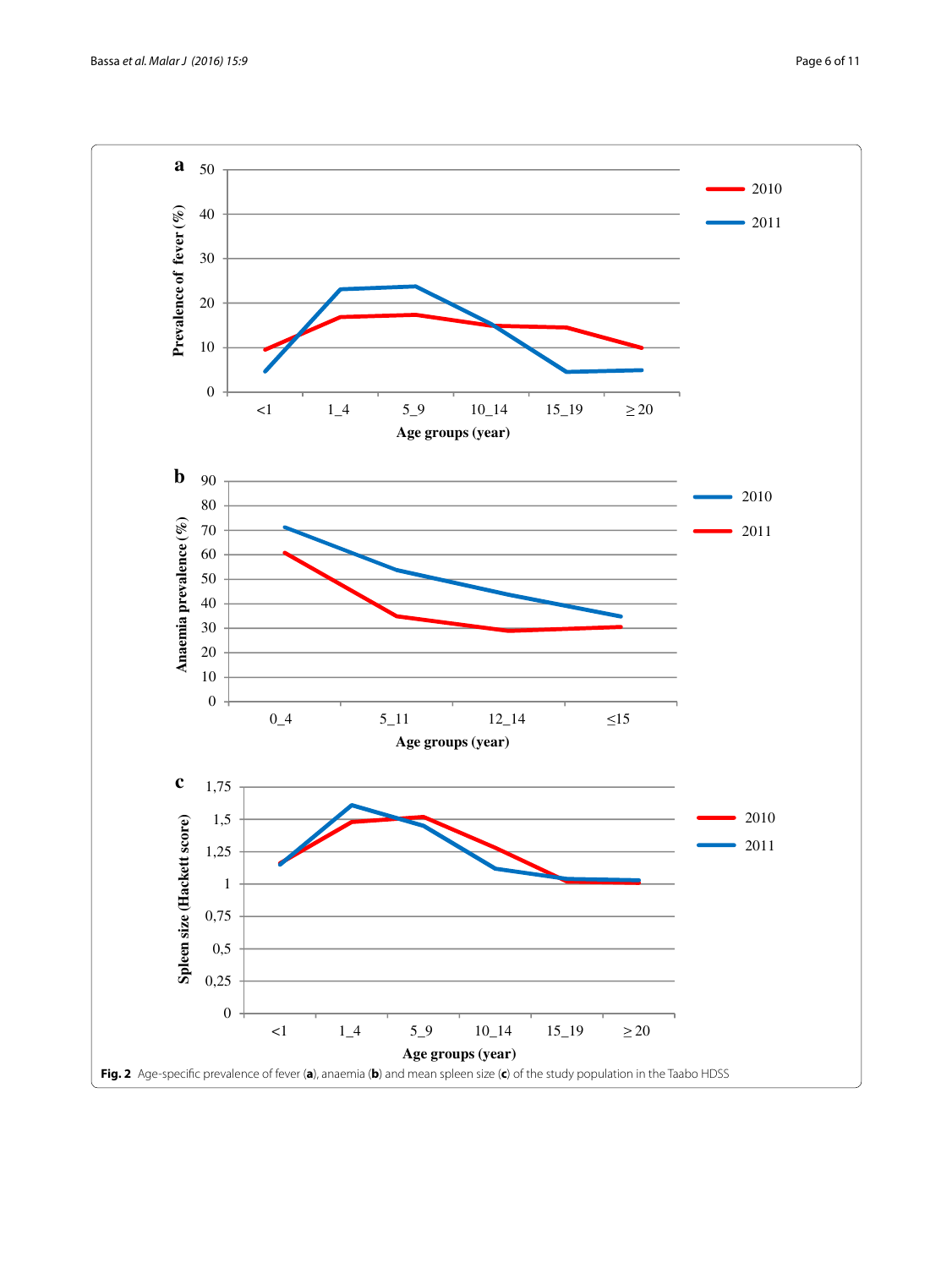<span id="page-5-0"></span>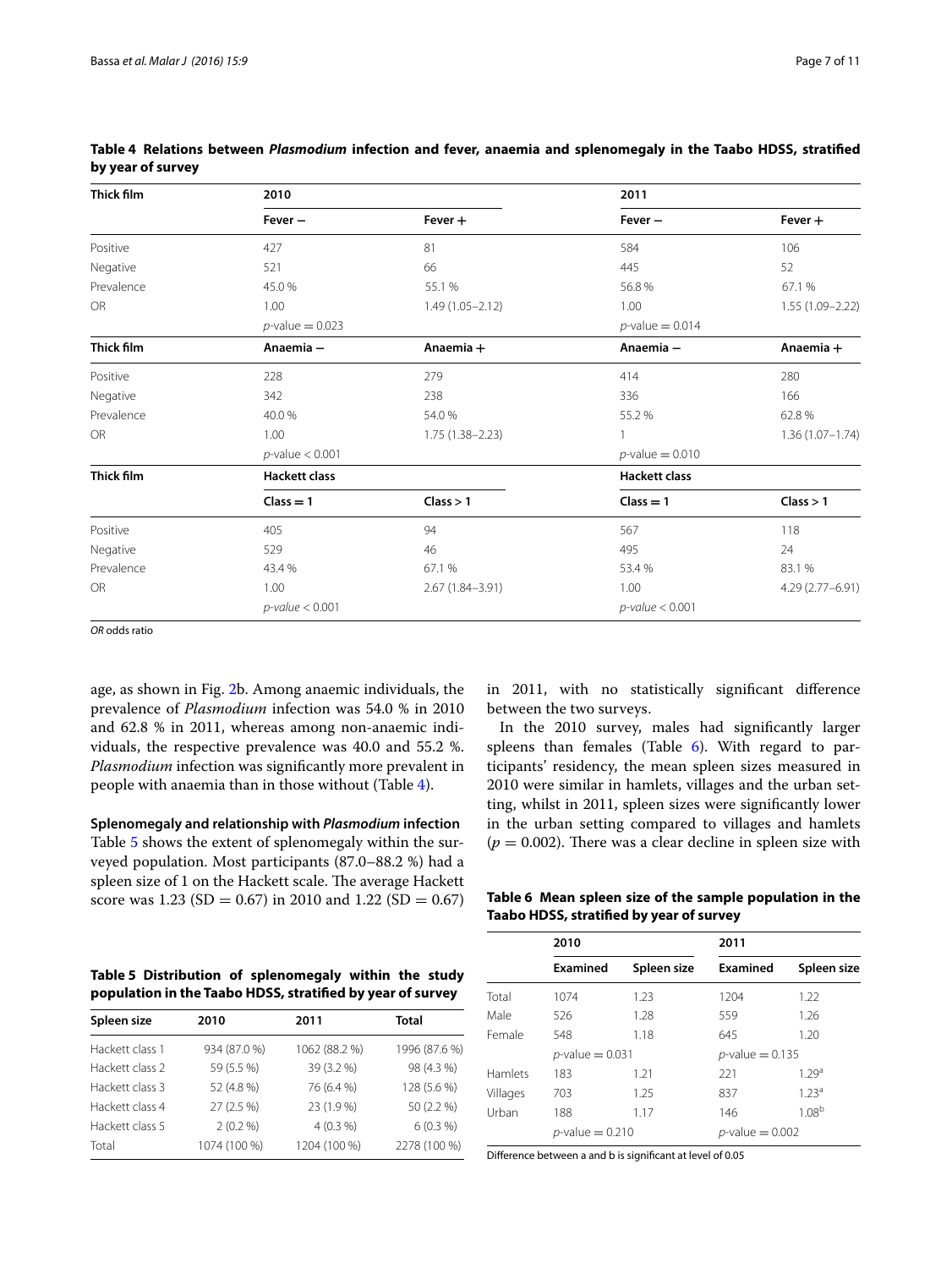| Thick film | 2010                                     |                     | 2011                 |                     |  |
|------------|------------------------------------------|---------------------|----------------------|---------------------|--|
|            | $Fever -$                                | $Fever +$           | $Fever -$            | $Fever +$           |  |
| Positive   | 427                                      | 81                  | 584                  | 106                 |  |
| Negative   | 521                                      | 66                  | 445                  | 52                  |  |
| Prevalence | 45.0%                                    | 55.1 %              | 56.8%                | 67.1 %              |  |
| OR         | 1.00                                     | $1.49(1.05 - 2.12)$ | 1.00                 | 1.55 (1.09-2.22)    |  |
|            | $p$ -value = 0.023                       |                     | $p$ -value = 0.014   |                     |  |
| Thick film | Anaemia -                                | Anaemia +           | Anaemia-             | Anaemia +           |  |
| Positive   | 228                                      | 279                 | 414                  | 280                 |  |
| Negative   | 342                                      | 238                 | 336                  | 166                 |  |
| Prevalence | 40.0%                                    | 54.0%               | 55.2%                | 62.8%               |  |
| <b>OR</b>  | 1.00                                     | $1.75(1.38 - 2.23)$ |                      | $1.36(1.07 - 1.74)$ |  |
|            | $p$ -value < 0.001                       |                     | $p$ -value = 0.010   |                     |  |
| Thick film | <b>Hackett class</b>                     |                     | <b>Hackett class</b> |                     |  |
|            | $Class = 1$                              | Class > 1           | $Class = 1$          | Class > 1           |  |
| Positive   | 405                                      | 94                  | 567                  | 118                 |  |
| Negative   | 529                                      | 46                  | 495                  | 24                  |  |
| Prevalence | 43.4 %                                   | 67.1 %              | 53.4 %               | 83.1%               |  |
| <b>OR</b>  | 1.00                                     | 2.67 (1.84-3.91)    | 1.00                 | 4.29 (2.77-6.91)    |  |
|            | $p$ -value < 0.001<br>$p$ -value < 0.001 |                     |                      |                     |  |

<span id="page-6-0"></span>

|                   |  |  |  | Table 4 Relations between Plasmodium infection and fever, anaemia and splenomegaly in the Taabo HDSS, stratified |  |  |
|-------------------|--|--|--|------------------------------------------------------------------------------------------------------------------|--|--|
| by year of survey |  |  |  |                                                                                                                  |  |  |

*OR* odds ratio

age, as shown in Fig. [2](#page-5-0)b. Among anaemic individuals, the prevalence of *Plasmodium* infection was 54.0 % in 2010 and 62.8 % in 2011, whereas among non-anaemic individuals, the respective prevalence was 40.0 and 55.2 %. *Plasmodium* infection was significantly more prevalent in people with anaemia than in those without (Table [4](#page-6-0)).

**Splenomegaly and relationship with** *Plasmodium* **infection** Table [5](#page-6-1) shows the extent of splenomegaly within the surveyed population. Most participants (87.0–88.2 %) had a spleen size of 1 on the Hackett scale. The average Hackett score was 1.23 (SD = 0.67) in 2010 and 1.22 (SD = 0.67) in 2011, with no statistically significant difference between the two surveys.

In the 2010 survey, males had significantly larger spleens than females (Table  $6$ ). With regard to participants' residency, the mean spleen sizes measured in 2010 were similar in hamlets, villages and the urban setting, whilst in 2011, spleen sizes were significantly lower in the urban setting compared to villages and hamlets  $(p = 0.002)$ . There was a clear decline in spleen size with

<span id="page-6-2"></span>**Table 6 Mean spleen size of the sample population in the Taabo HDSS, stratified by year of survey**

<span id="page-6-1"></span>

| Table 5 Distribution of splenomegaly within the study      |  |  |  |
|------------------------------------------------------------|--|--|--|
| population in the Taabo HDSS, stratified by year of survey |  |  |  |

| Spleen size     | 2010         | 2011          | Total         |
|-----------------|--------------|---------------|---------------|
| Hackett class 1 | 934 (87.0 %) | 1062 (88.2 %) | 1996 (87.6 %) |
| Hackett class 2 | 59 (5.5 %)   | 39 (3.2 %)    | 98 (4.3 %)    |
| Hackett class 3 | 52 (4.8 %)   | 76 (6.4 %)    | 128 (5.6 %)   |
| Hackett class 4 | 27(2.5%)     | 23 (1.9 %)    | 50 (2.2 %)    |
| Hackett class 5 | $2(0.2\%)$   | $4(0.3\%)$    | $6(0.3\%)$    |
| Total           | 1074 (100 %) | 1204 (100 %)  | 2278 (100 %)  |

|          | 2010               |             | 2011               |                   |  |
|----------|--------------------|-------------|--------------------|-------------------|--|
|          | Examined           | Spleen size | Examined           | Spleen size       |  |
| Total    | 1074               | 1.23        | 1204               | 1.22              |  |
| Male     | 526                | 1.28        | 559                | 1.26              |  |
| Female   | 548                | 1.18        | 645                | 1.20              |  |
|          | $p$ -value = 0.031 |             | $p$ -value = 0.135 |                   |  |
| Hamlets  | 183                | 1.21        | 221                | 1.29 <sup>a</sup> |  |
| Villages | 703                | 1.25        | 837                | 1.23 <sup>a</sup> |  |
| Urban    | 188                | 1.17        | 146                | 1.08 <sup>b</sup> |  |
|          | $p$ -value = 0.210 |             | $p$ -value = 0.002 |                   |  |

Difference between a and b is significant at level of 0.05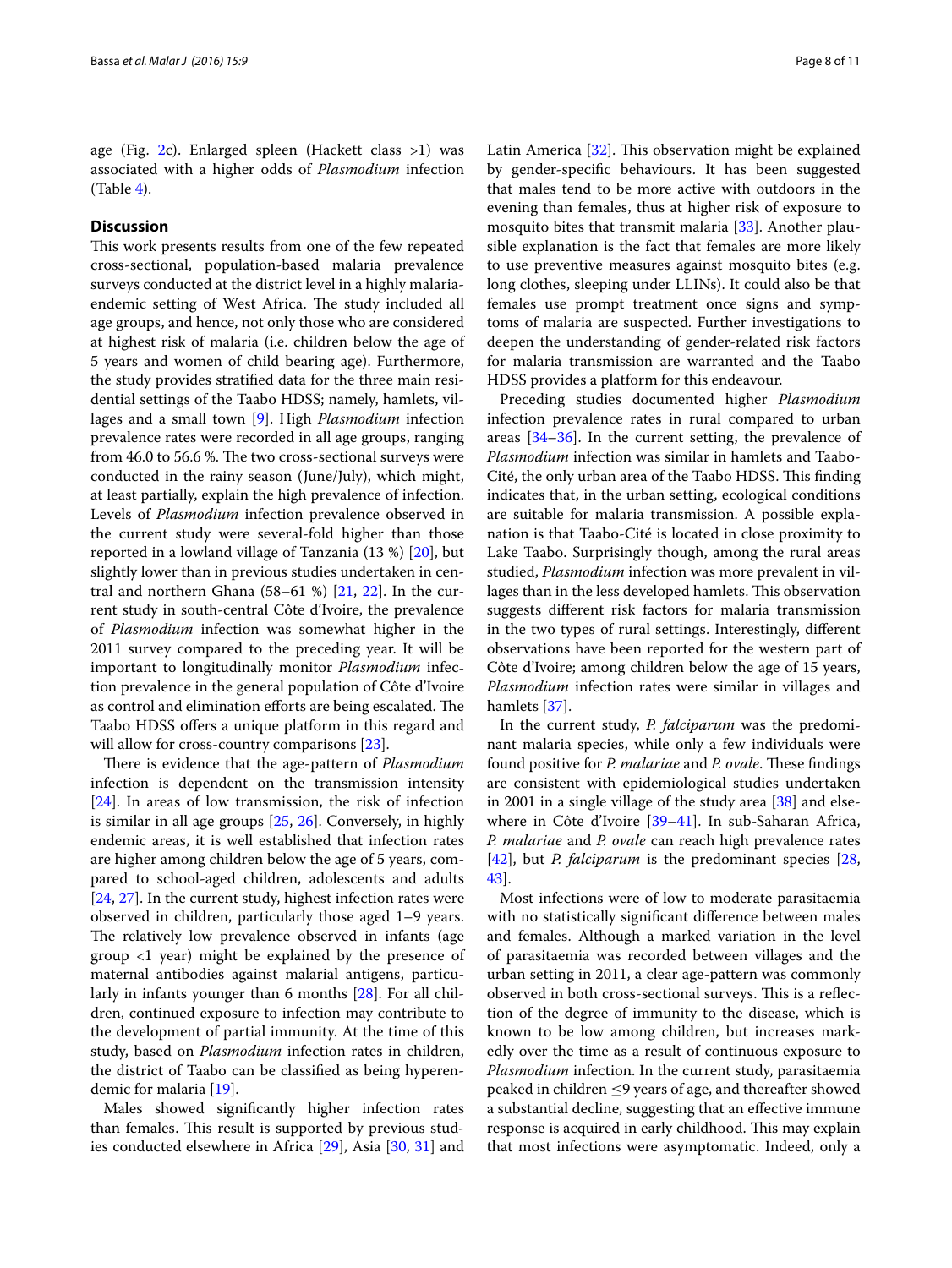age (Fig.  $2c$ ). Enlarged spleen (Hackett class  $>1$ ) was associated with a higher odds of *Plasmodium* infection  $(Table 4)$  $(Table 4)$  $(Table 4)$ .

## **Discussion**

This work presents results from one of the few repeated cross-sectional, population-based malaria prevalence surveys conducted at the district level in a highly malariaendemic setting of West Africa. The study included all age groups, and hence, not only those who are considered at highest risk of malaria (i.e. children below the age of 5 years and women of child bearing age). Furthermore, the study provides stratified data for the three main residential settings of the Taabo HDSS; namely, hamlets, villages and a small town [[9\]](#page-9-6). High *Plasmodium* infection prevalence rates were recorded in all age groups, ranging from 46.0 to 56.6 %. The two cross-sectional surveys were conducted in the rainy season (June/July), which might, at least partially, explain the high prevalence of infection. Levels of *Plasmodium* infection prevalence observed in the current study were several-fold higher than those reported in a lowland village of Tanzania (13 %) [[20\]](#page-9-16), but slightly lower than in previous studies undertaken in central and northern Ghana (58–61 %) [\[21](#page-9-17), [22\]](#page-9-18). In the current study in south-central Côte d'Ivoire, the prevalence of *Plasmodium* infection was somewhat higher in the 2011 survey compared to the preceding year. It will be important to longitudinally monitor *Plasmodium* infection prevalence in the general population of Côte d'Ivoire as control and elimination efforts are being escalated. The Taabo HDSS offers a unique platform in this regard and will allow for cross-country comparisons [[23](#page-9-19)].

There is evidence that the age-pattern of *Plasmodium* infection is dependent on the transmission intensity [[24\]](#page-9-20). In areas of low transmission, the risk of infection is similar in all age groups [\[25](#page-9-21), [26](#page-9-22)]. Conversely, in highly endemic areas, it is well established that infection rates are higher among children below the age of 5 years, compared to school-aged children, adolescents and adults [[24,](#page-9-20) [27](#page-9-23)]. In the current study, highest infection rates were observed in children, particularly those aged 1–9 years. The relatively low prevalence observed in infants (age group <1 year) might be explained by the presence of maternal antibodies against malarial antigens, particularly in infants younger than 6 months [[28\]](#page-9-24). For all children, continued exposure to infection may contribute to the development of partial immunity. At the time of this study, based on *Plasmodium* infection rates in children, the district of Taabo can be classified as being hyperendemic for malaria [\[19](#page-9-15)].

Males showed significantly higher infection rates than females. This result is supported by previous studies conducted elsewhere in Africa [\[29](#page-9-25)], Asia [\[30](#page-9-26), [31](#page-9-27)] and Latin America [\[32\]](#page-9-28). This observation might be explained by gender-specific behaviours. It has been suggested that males tend to be more active with outdoors in the evening than females, thus at higher risk of exposure to mosquito bites that transmit malaria [\[33\]](#page-9-29). Another plausible explanation is the fact that females are more likely to use preventive measures against mosquito bites (e.g. long clothes, sleeping under LLINs). It could also be that females use prompt treatment once signs and symptoms of malaria are suspected. Further investigations to deepen the understanding of gender-related risk factors for malaria transmission are warranted and the Taabo HDSS provides a platform for this endeavour.

Preceding studies documented higher *Plasmodium* infection prevalence rates in rural compared to urban areas [[34–](#page-9-30)[36](#page-9-31)]. In the current setting, the prevalence of *Plasmodium* infection was similar in hamlets and Taabo-Cité, the only urban area of the Taabo HDSS. This finding indicates that, in the urban setting, ecological conditions are suitable for malaria transmission. A possible explanation is that Taabo-Cité is located in close proximity to Lake Taabo. Surprisingly though, among the rural areas studied, *Plasmodium* infection was more prevalent in villages than in the less developed hamlets. This observation suggests different risk factors for malaria transmission in the two types of rural settings. Interestingly, different observations have been reported for the western part of Côte d'Ivoire; among children below the age of 15 years, *Plasmodium* infection rates were similar in villages and hamlets [[37](#page-9-32)].

In the current study, *P. falciparum* was the predominant malaria species, while only a few individuals were found positive for *P. malariae* and *P. ovale*. These findings are consistent with epidemiological studies undertaken in 2001 in a single village of the study area [[38\]](#page-9-33) and elsewhere in Côte d'Ivoire [[39–](#page-9-34)[41](#page-9-35)]. In sub-Saharan Africa, *P. malariae* and *P. ovale* can reach high prevalence rates [[42\]](#page-9-36), but *P. falciparum* is the predominant species [[28](#page-9-24), [43\]](#page-9-37).

Most infections were of low to moderate parasitaemia with no statistically significant difference between males and females. Although a marked variation in the level of parasitaemia was recorded between villages and the urban setting in 2011, a clear age-pattern was commonly observed in both cross-sectional surveys. This is a reflection of the degree of immunity to the disease, which is known to be low among children, but increases markedly over the time as a result of continuous exposure to *Plasmodium* infection. In the current study, parasitaemia peaked in children ≤9 years of age, and thereafter showed a substantial decline, suggesting that an effective immune response is acquired in early childhood. This may explain that most infections were asymptomatic. Indeed, only a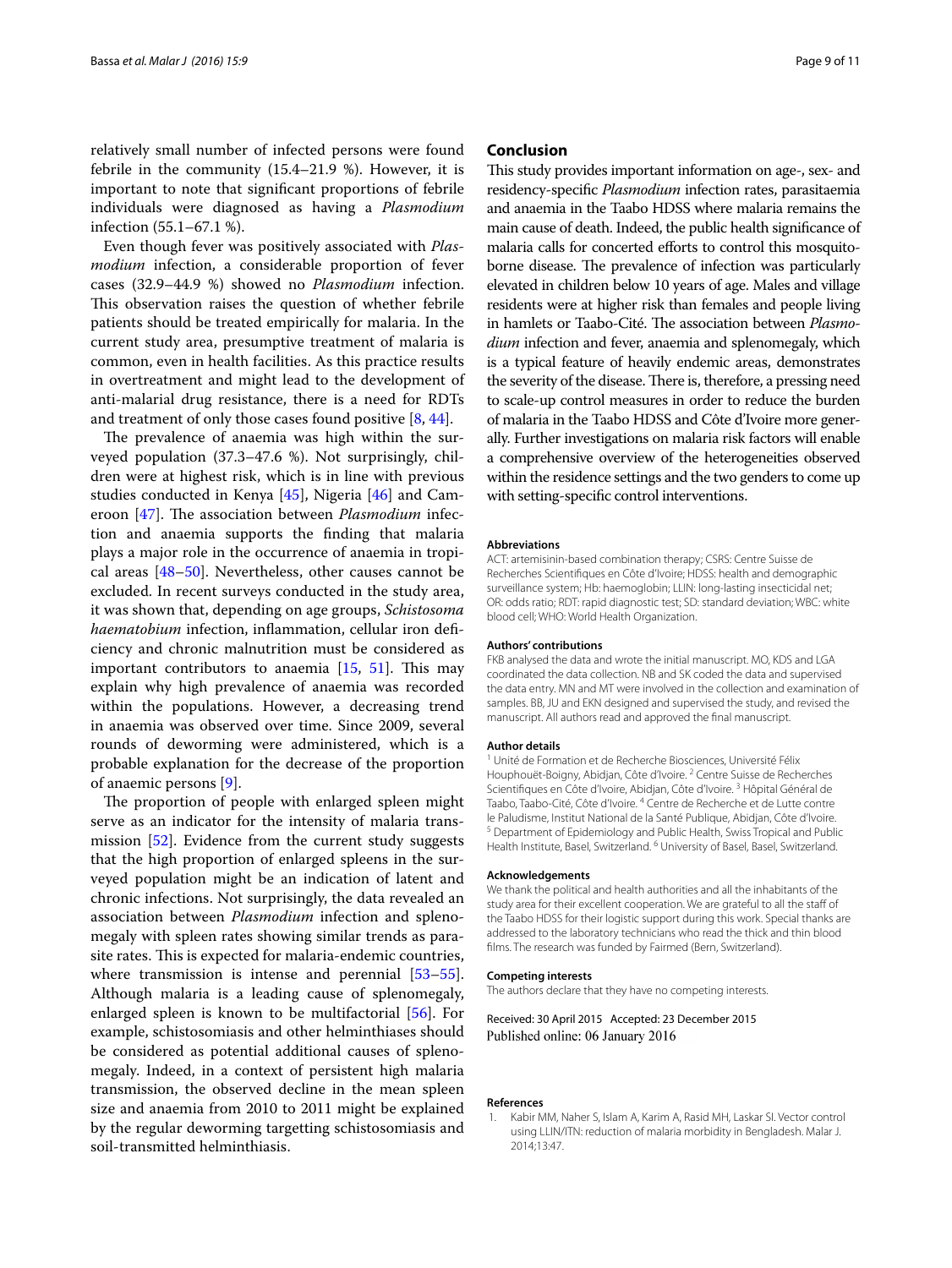relatively small number of infected persons were found febrile in the community (15.4–21.9 %). However, it is important to note that significant proportions of febrile individuals were diagnosed as having a *Plasmodium* infection (55.1–67.1 %).

Even though fever was positively associated with *Plasmodium* infection, a considerable proportion of fever cases (32.9–44.9 %) showed no *Plasmodium* infection. This observation raises the question of whether febrile patients should be treated empirically for malaria. In the current study area, presumptive treatment of malaria is common, even in health facilities. As this practice results in overtreatment and might lead to the development of anti-malarial drug resistance, there is a need for RDTs and treatment of only those cases found positive [\[8,](#page-9-5) [44](#page-9-38)].

The prevalence of anaemia was high within the surveyed population (37.3–47.6 %). Not surprisingly, children were at highest risk, which is in line with previous studies conducted in Kenya [[45\]](#page-9-39), Nigeria [[46\]](#page-9-40) and Cameroon [\[47](#page-10-0)]. The association between *Plasmodium* infection and anaemia supports the finding that malaria plays a major role in the occurrence of anaemia in tropical areas [[48–](#page-10-1)[50](#page-10-2)]. Nevertheless, other causes cannot be excluded. In recent surveys conducted in the study area, it was shown that, depending on age groups, *Schistosoma haematobium* infection, inflammation, cellular iron deficiency and chronic malnutrition must be considered as important contributors to anaemia [\[15](#page-9-11), [51\]](#page-10-3). This may explain why high prevalence of anaemia was recorded within the populations. However, a decreasing trend in anaemia was observed over time. Since 2009, several rounds of deworming were administered, which is a probable explanation for the decrease of the proportion of anaemic persons [[9\]](#page-9-6).

The proportion of people with enlarged spleen might serve as an indicator for the intensity of malaria transmission [[52](#page-10-4)]. Evidence from the current study suggests that the high proportion of enlarged spleens in the surveyed population might be an indication of latent and chronic infections. Not surprisingly, the data revealed an association between *Plasmodium* infection and splenomegaly with spleen rates showing similar trends as parasite rates. This is expected for malaria-endemic countries, where transmission is intense and perennial [[53](#page-10-5)[–55](#page-10-6)]. Although malaria is a leading cause of splenomegaly, enlarged spleen is known to be multifactorial [[56](#page-10-7)]. For example, schistosomiasis and other helminthiases should be considered as potential additional causes of splenomegaly. Indeed, in a context of persistent high malaria transmission, the observed decline in the mean spleen size and anaemia from 2010 to 2011 might be explained by the regular deworming targetting schistosomiasis and soil-transmitted helminthiasis.

#### **Conclusion**

This study provides important information on age-, sex- and residency-specific *Plasmodium* infection rates, parasitaemia and anaemia in the Taabo HDSS where malaria remains the main cause of death. Indeed, the public health significance of malaria calls for concerted efforts to control this mosquitoborne disease. The prevalence of infection was particularly elevated in children below 10 years of age. Males and village residents were at higher risk than females and people living in hamlets or Taabo-Cité. The association between *Plasmodium* infection and fever, anaemia and splenomegaly, which is a typical feature of heavily endemic areas, demonstrates the severity of the disease. There is, therefore, a pressing need to scale-up control measures in order to reduce the burden of malaria in the Taabo HDSS and Côte d'Ivoire more generally. Further investigations on malaria risk factors will enable a comprehensive overview of the heterogeneities observed within the residence settings and the two genders to come up with setting-specific control interventions.

#### **Abbreviations**

ACT: artemisinin-based combination therapy; CSRS: Centre Suisse de Recherches Scientifiques en Côte d'Ivoire; HDSS: health and demographic surveillance system; Hb: haemoglobin; LLIN: long-lasting insecticidal net; OR: odds ratio; RDT: rapid diagnostic test; SD: standard deviation; WBC: white blood cell; WHO: World Health Organization.

#### **Authors' contributions**

FKB analysed the data and wrote the initial manuscript. MO, KDS and LGA coordinated the data collection. NB and SK coded the data and supervised the data entry. MN and MT were involved in the collection and examination of samples. BB, JU and EKN designed and supervised the study, and revised the manuscript. All authors read and approved the final manuscript.

#### **Author details**

<sup>1</sup> Unité de Formation et de Recherche Biosciences, Université Félix Houphouët-Boigny, Abidjan, Côte d'Ivoire.<sup>2</sup> Centre Suisse de Recherches Scientifiques en Côte d'Ivoire, Abidjan, Côte d'Ivoire.<sup>3</sup> Hôpital Général de Taabo, Taabo-Cité, Côte d'Ivoire. 4 Centre de Recherche et de Lutte contre le Paludisme, Institut National de la Santé Publique, Abidjan, Côte d'Ivoire. <sup>5</sup> Department of Epidemiology and Public Health, Swiss Tropical and Public Health Institute, Basel, Switzerland.<sup>6</sup> University of Basel, Basel, Switzerland.

#### **Acknowledgements**

We thank the political and health authorities and all the inhabitants of the study area for their excellent cooperation. We are grateful to all the staff of the Taabo HDSS for their logistic support during this work. Special thanks are addressed to the laboratory technicians who read the thick and thin blood films. The research was funded by Fairmed (Bern, Switzerland).

#### **Competing interests**

The authors declare that they have no competing interests.

Received: 30 April 2015 Accepted: 23 December 2015 Published online: 06 January 2016

#### **References**

<span id="page-8-0"></span>1. Kabir MM, Naher S, Islam A, Karim A, Rasid MH, Laskar SI. Vector control using LLIN/ITN: reduction of malaria morbidity in Bengladesh. Malar J. 2014;13:47.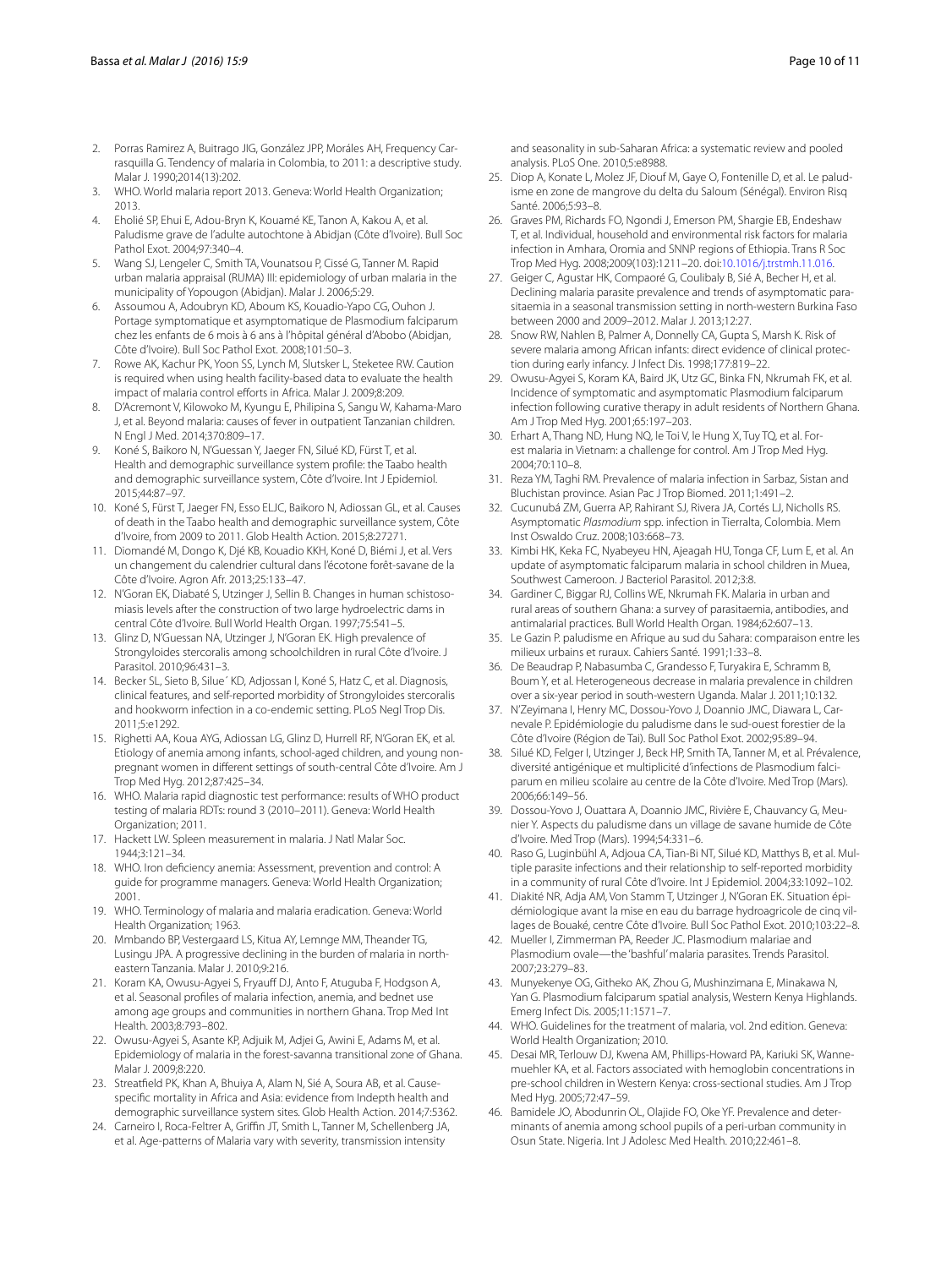- <span id="page-9-0"></span>2. Porras Ramirez A, Buitrago JIG, González JPP, Moráles AH, Frequency Carrasquilla G. Tendency of malaria in Colombia, to 2011: a descriptive study. Malar J. 1990;2014(13):202.
- <span id="page-9-1"></span>3. WHO. World malaria report 2013. Geneva: World Health Organization; 2013.
- <span id="page-9-2"></span>4. Eholié SP, Ehui E, Adou-Bryn K, Kouamé KE, Tanon A, Kakou A, et al. Paludisme grave de l'adulte autochtone à Abidjan (Côte d'Ivoire). Bull Soc Pathol Exot. 2004;97:340–4.
- 5. Wang SJ, Lengeler C, Smith TA, Vounatsou P, Cissé G, Tanner M. Rapid urban malaria appraisal (RUMA) III: epidemiology of urban malaria in the municipality of Yopougon (Abidjan). Malar J. 2006;5:29.
- <span id="page-9-3"></span>6. Assoumou A, Adoubryn KD, Aboum KS, Kouadio-Yapo CG, Ouhon J. Portage symptomatique et asymptomatique de Plasmodium falciparum chez les enfants de 6 mois à 6 ans à l'hôpital général d'Abobo (Abidjan, Côte d'Ivoire). Bull Soc Pathol Exot. 2008;101:50–3.
- <span id="page-9-4"></span>7. Rowe AK, Kachur PK, Yoon SS, Lynch M, Slutsker L, Steketee RW. Caution is required when using health facility-based data to evaluate the health impact of malaria control efforts in Africa. Malar J. 2009;8:209.
- <span id="page-9-5"></span>8. D'Acremont V, Kilowoko M, Kyungu E, Philipina S, Sangu W, Kahama-Maro J, et al. Beyond malaria: causes of fever in outpatient Tanzanian children. N Engl J Med. 2014;370:809–17.
- <span id="page-9-6"></span>9. Koné S, Baikoro N, N'Guessan Y, Jaeger FN, Silué KD, Fürst T, et al. Health and demographic surveillance system profile: the Taabo health and demographic surveillance system, Côte d'Ivoire. Int J Epidemiol. 2015;44:87–97.
- <span id="page-9-7"></span>10. Koné S, Fürst T, Jaeger FN, Esso ELJC, Baikoro N, Adiossan GL, et al. Causes of death in the Taabo health and demographic surveillance system, Côte d'Ivoire, from 2009 to 2011. Glob Health Action. 2015;8:27271.
- <span id="page-9-8"></span>11. Diomandé M, Dongo K, Djé KB, Kouadio KKH, Koné D, Biémi J, et al. Vers un changement du calendrier cultural dans l'écotone forêt-savane de la Côte d'Ivoire. Agron Afr. 2013;25:133–47.
- <span id="page-9-9"></span>12. N'Goran EK, Diabaté S, Utzinger J, Sellin B. Changes in human schistosomiasis levels after the construction of two large hydroelectric dams in central Côte d'Ivoire. Bull World Health Organ. 1997;75:541–5.
- <span id="page-9-10"></span>13. Glinz D, N'Guessan NA, Utzinger J, N'Goran EK. High prevalence of Strongyloides stercoralis among schoolchildren in rural Côte d'Ivoire. J Parasitol. 2010;96:431–3.
- 14. Becker SL, Sieto B, Silue´ KD, Adjossan l, Koné S, Hatz C, et al. Diagnosis, clinical features, and self-reported morbidity of Strongyloides stercoralis and hookworm infection in a co-endemic setting. PLoS Negl Trop Dis. 2011;5:e1292.
- <span id="page-9-11"></span>15. Righetti AA, Koua AYG, Adiossan LG, Glinz D, Hurrell RF, N'Goran EK, et al. Etiology of anemia among infants, school-aged children, and young nonpregnant women in different settings of south-central Côte d'Ivoire. Am J Trop Med Hyg. 2012;87:425–34.
- <span id="page-9-12"></span>16. WHO. Malaria rapid diagnostic test performance: results of WHO product testing of malaria RDTs: round 3 (2010–2011). Geneva: World Health Organization; 2011.
- <span id="page-9-13"></span>17. Hackett LW. Spleen measurement in malaria. J Natl Malar Soc. 1944;3:121–34.
- <span id="page-9-14"></span>18. WHO. Iron deficiency anemia: Assessment, prevention and control: A guide for programme managers. Geneva: World Health Organization; 2001.
- <span id="page-9-15"></span>19. WHO. Terminology of malaria and malaria eradication. Geneva: World Health Organization; 1963.
- <span id="page-9-16"></span>20. Mmbando BP, Vestergaard LS, Kitua AY, Lemnge MM, Theander TG, Lusingu JPA. A progressive declining in the burden of malaria in northeastern Tanzania. Malar J. 2010;9:216.
- <span id="page-9-17"></span>21. Koram KA, Owusu-Agyei S, Fryauff DJ, Anto F, Atuguba F, Hodgson A, et al. Seasonal profiles of malaria infection, anemia, and bednet use among age groups and communities in northern Ghana. Trop Med Int Health. 2003;8:793–802.
- <span id="page-9-18"></span>22. Owusu-Agyei S, Asante KP, Adjuik M, Adjei G, Awini E, Adams M, et al. Epidemiology of malaria in the forest-savanna transitional zone of Ghana. Malar J. 2009;8:220.
- <span id="page-9-19"></span>23. Streatfield PK, Khan A, Bhuiya A, Alam N, Sié A, Soura AB, et al. Causespecific mortality in Africa and Asia: evidence from Indepth health and demographic surveillance system sites. Glob Health Action. 2014;7:5362.
- <span id="page-9-20"></span>24. Carneiro I, Roca-Feltrer A, Griffin JT, Smith L, Tanner M, Schellenberg JA, et al. Age-patterns of Malaria vary with severity, transmission intensity

and seasonality in sub-Saharan Africa: a systematic review and pooled analysis. PLoS One. 2010;5:e8988.

- <span id="page-9-21"></span>25. Diop A, Konate L, Molez JF, Diouf M, Gaye O, Fontenille D, et al. Le paludisme en zone de mangrove du delta du Saloum (Sénégal). Environ Risq Santé. 2006;5:93–8.
- <span id="page-9-22"></span>26. Graves PM, Richards FO, Ngondi J, Emerson PM, Shargie EB, Endeshaw T, et al. Individual, household and environmental risk factors for malaria infection in Amhara, Oromia and SNNP regions of Ethiopia. Trans R Soc Trop Med Hyg. 2008;2009(103):1211–20. doi:[10.1016/j.trstmh.11.016.](http://dx.doi.org/10.1016/j.trstmh.11.016)
- <span id="page-9-23"></span>27. Geiger C, Agustar HK, Compaoré G, Coulibaly B, Sié A, Becher H, et al. Declining malaria parasite prevalence and trends of asymptomatic parasitaemia in a seasonal transmission setting in north-western Burkina Faso between 2000 and 2009–2012. Malar J. 2013;12:27.
- <span id="page-9-24"></span>28. Snow RW, Nahlen B, Palmer A, Donnelly CA, Gupta S, Marsh K. Risk of severe malaria among African infants: direct evidence of clinical protection during early infancy. J Infect Dis. 1998;177:819–22.
- <span id="page-9-25"></span>29. Owusu-Agyei S, Koram KA, Baird JK, Utz GC, Binka FN, Nkrumah FK, et al. Incidence of symptomatic and asymptomatic Plasmodium falciparum infection following curative therapy in adult residents of Northern Ghana. Am J Trop Med Hyg. 2001;65:197–203.
- <span id="page-9-26"></span>30. Erhart A, Thang ND, Hung NQ, le Toi V, le Hung X, Tuy TQ, et al. Forest malaria in Vietnam: a challenge for control. Am J Trop Med Hyg. 2004;70:110–8.
- <span id="page-9-27"></span>31. Reza YM, Taghi RM. Prevalence of malaria infection in Sarbaz, Sistan and Bluchistan province. Asian Pac J Trop Biomed. 2011;1:491–2.
- <span id="page-9-28"></span>32. Cucunubá ZM, Guerra AP, Rahirant SJ, Rivera JA, Cortés LJ, Nicholls RS. Asymptomatic *Plasmodium* spp. infection in Tierralta, Colombia. Mem Inst Oswaldo Cruz. 2008;103:668–73.
- <span id="page-9-29"></span>33. Kimbi HK, Keka FC, Nyabeyeu HN, Ajeagah HU, Tonga CF, Lum E, et al. An update of asymptomatic falciparum malaria in school children in Muea, Southwest Cameroon. J Bacteriol Parasitol. 2012;3:8.
- <span id="page-9-30"></span>34. Gardiner C, Biggar RJ, Collins WE, Nkrumah FK. Malaria in urban and rural areas of southern Ghana: a survey of parasitaemia, antibodies, and antimalarial practices. Bull World Health Organ. 1984;62:607–13.
- 35. Le Gazin P. paludisme en Afrique au sud du Sahara: comparaison entre les milieux urbains et ruraux. Cahiers Santé. 1991;1:33–8.
- <span id="page-9-31"></span>36. De Beaudrap P, Nabasumba C, Grandesso F, Turyakira E, Schramm B, Boum Y, et al. Heterogeneous decrease in malaria prevalence in children over a six-year period in south-western Uganda. Malar J. 2011;10:132.
- <span id="page-9-32"></span>37. N'Zeyimana I, Henry MC, Dossou-Yovo J, Doannio JMC, Diawara L, Carnevale P. Epidémiologie du paludisme dans le sud-ouest forestier de la Côte d'Ivoire (Région de Tai). Bull Soc Pathol Exot. 2002;95:89–94.
- <span id="page-9-33"></span>38. Silué KD, Felger I, Utzinger J, Beck HP, Smith TA, Tanner M, et al. Prévalence, diversité antigénique et multiplicité d'infections de Plasmodium falciparum en milieu scolaire au centre de la Côte d'Ivoire. Med Trop (Mars). 2006;66:149–56.
- <span id="page-9-34"></span>39. Dossou-Yovo J, Ouattara A, Doannio JMC, Rivière E, Chauvancy G, Meunier Y. Aspects du paludisme dans un village de savane humide de Côte d'Ivoire. Med Trop (Mars). 1994;54:331–6.
- 40. Raso G, Luginbühl A, Adjoua CA, Tian-Bi NT, Silué KD, Matthys B, et al. Multiple parasite infections and their relationship to self-reported morbidity in a community of rural Côte d'Ivoire. Int J Epidemiol. 2004;33:1092–102.
- <span id="page-9-35"></span>41. Diakité NR, Adja AM, Von Stamm T, Utzinger J, N'Goran EK. Situation épidémiologique avant la mise en eau du barrage hydroagricole de cinq villages de Bouaké, centre Côte d'Ivoire. Bull Soc Pathol Exot. 2010;103:22–8.
- <span id="page-9-36"></span>42. Mueller I, Zimmerman PA, Reeder JC. Plasmodium malariae and Plasmodium ovale—the 'bashful' malaria parasites. Trends Parasitol. 2007;23:279–83.
- <span id="page-9-37"></span>43. Munyekenye OG, Githeko AK, Zhou G, Mushinzimana E, Minakawa N, Yan G. Plasmodium falciparum spatial analysis, Western Kenya Highlands. Emerg Infect Dis. 2005;11:1571–7.
- <span id="page-9-38"></span>44. WHO. Guidelines for the treatment of malaria, vol. 2nd edition. Geneva: World Health Organization; 2010.
- <span id="page-9-39"></span>45. Desai MR, Terlouw DJ, Kwena AM, Phillips-Howard PA, Kariuki SK, Wannemuehler KA, et al. Factors associated with hemoglobin concentrations in pre-school children in Western Kenya: cross-sectional studies. Am J Trop Med Hyg. 2005;72:47–59.
- <span id="page-9-40"></span>46. Bamidele JO, Abodunrin OL, Olajide FO, Oke YF. Prevalence and determinants of anemia among school pupils of a peri-urban community in Osun State. Nigeria. Int J Adolesc Med Health. 2010;22:461–8.